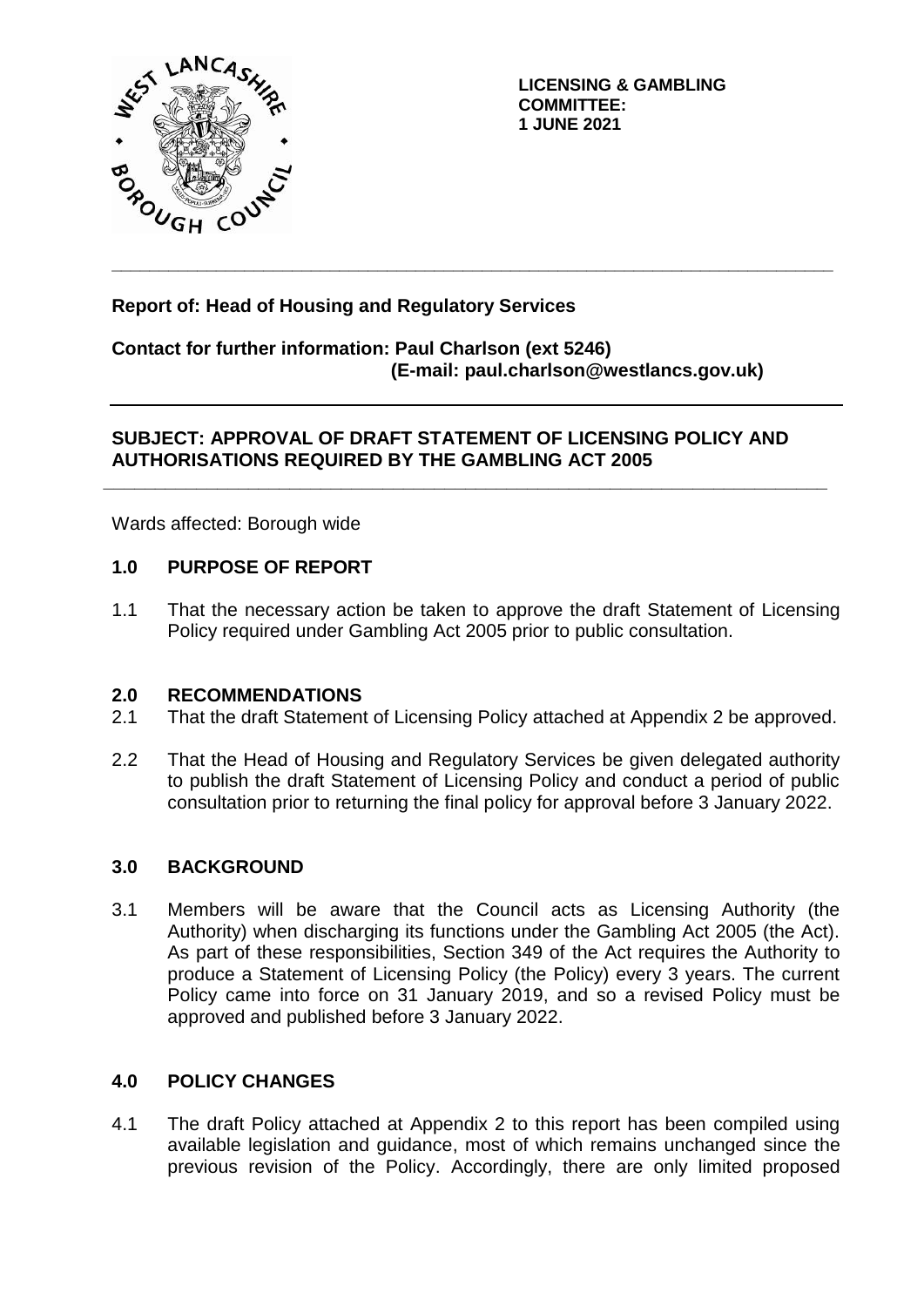

**LICENSING & GAMBLING COMMITTEE: 1 JUNE 2021**

# **Report of: Head of Housing and Regulatory Services**

# **Contact for further information: Paul Charlson (ext 5246) (E-mail: paul.charlson@westlancs.gov.uk)**

**\_\_\_\_\_\_\_\_\_\_\_\_\_\_\_\_\_\_\_\_\_\_\_\_\_\_\_\_\_\_\_\_\_\_\_\_\_\_\_\_\_\_\_\_\_\_\_\_\_\_\_\_\_\_\_\_\_\_\_\_\_\_\_\_\_\_\_\_\_\_\_\_\_\_\_\_**

# **SUBJECT: APPROVAL OF DRAFT STATEMENT OF LICENSING POLICY AND AUTHORISATIONS REQUIRED BY THE GAMBLING ACT 2005**

**\_\_\_\_\_\_\_\_\_\_\_\_\_\_\_\_\_\_\_\_\_\_\_\_\_\_\_\_\_\_\_\_\_\_\_\_\_\_\_\_\_\_\_\_\_\_\_\_\_\_\_\_\_\_\_\_\_\_\_\_\_\_\_\_\_\_\_\_\_\_**

Wards affected: Borough wide

# **1.0 PURPOSE OF REPORT**

1.1 That the necessary action be taken to approve the draft Statement of Licensing Policy required under Gambling Act 2005 prior to public consultation.

### **2.0 RECOMMENDATIONS**

- 2.1 That the draft Statement of Licensing Policy attached at Appendix 2 be approved.
- 2.2 That the Head of Housing and Regulatory Services be given delegated authority to publish the draft Statement of Licensing Policy and conduct a period of public consultation prior to returning the final policy for approval before 3 January 2022.

### **3.0 BACKGROUND**

3.1 Members will be aware that the Council acts as Licensing Authority (the Authority) when discharging its functions under the Gambling Act 2005 (the Act). As part of these responsibilities, Section 349 of the Act requires the Authority to produce a Statement of Licensing Policy (the Policy) every 3 years. The current Policy came into force on 31 January 2019, and so a revised Policy must be approved and published before 3 January 2022.

### **4.0 POLICY CHANGES**

4.1 The draft Policy attached at Appendix 2 to this report has been compiled using available legislation and guidance, most of which remains unchanged since the previous revision of the Policy. Accordingly, there are only limited proposed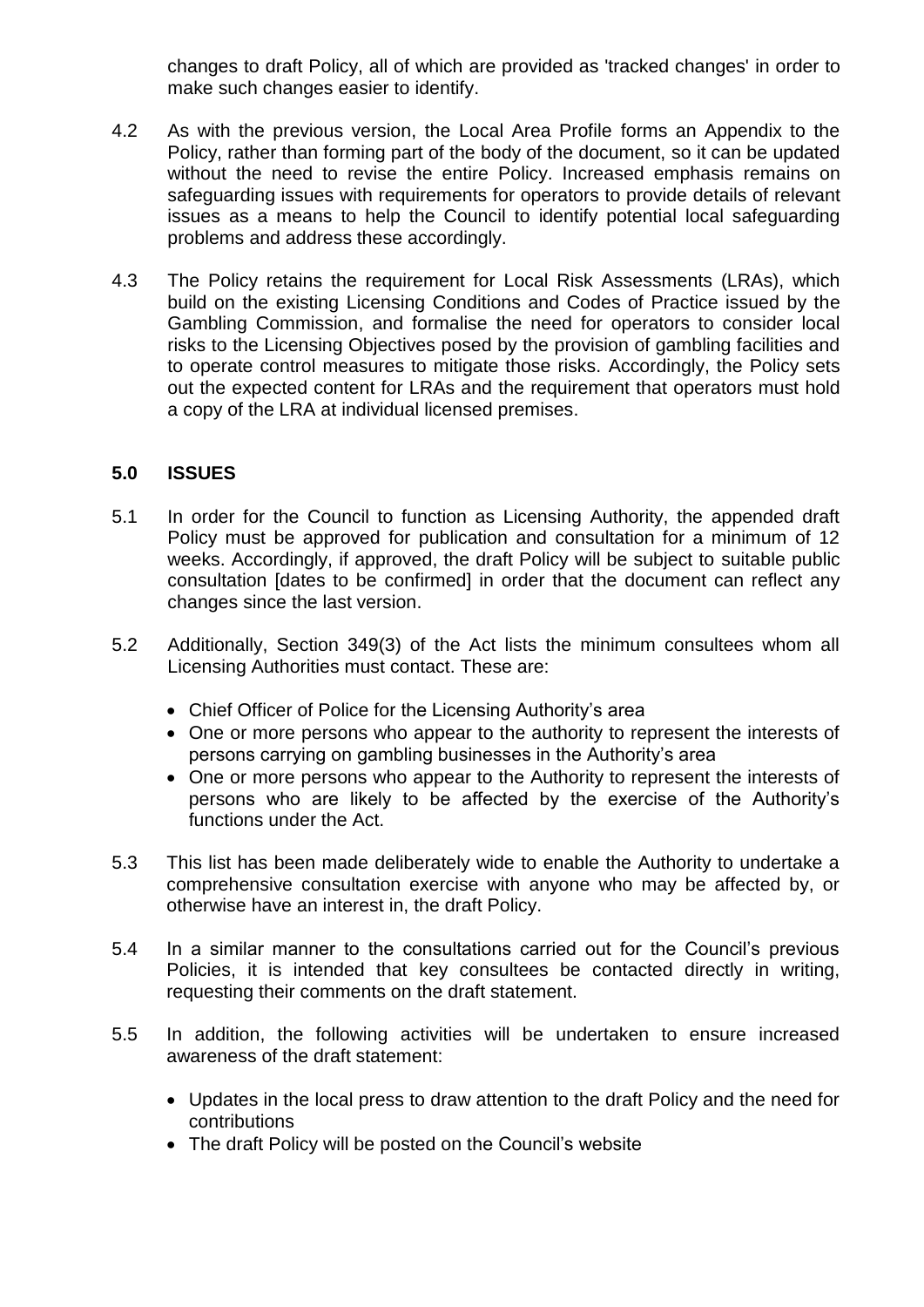changes to draft Policy, all of which are provided as 'tracked changes' in order to make such changes easier to identify.

- 4.2 As with the previous version, the Local Area Profile forms an Appendix to the Policy, rather than forming part of the body of the document, so it can be updated without the need to revise the entire Policy. Increased emphasis remains on safeguarding issues with requirements for operators to provide details of relevant issues as a means to help the Council to identify potential local safeguarding problems and address these accordingly.
- 4.3 The Policy retains the requirement for Local Risk Assessments (LRAs), which build on the existing Licensing Conditions and Codes of Practice issued by the Gambling Commission, and formalise the need for operators to consider local risks to the Licensing Objectives posed by the provision of gambling facilities and to operate control measures to mitigate those risks. Accordingly, the Policy sets out the expected content for LRAs and the requirement that operators must hold a copy of the LRA at individual licensed premises.

# **5.0 ISSUES**

- 5.1 In order for the Council to function as Licensing Authority, the appended draft Policy must be approved for publication and consultation for a minimum of 12 weeks. Accordingly, if approved, the draft Policy will be subject to suitable public consultation [dates to be confirmed] in order that the document can reflect any changes since the last version.
- 5.2 Additionally, Section 349(3) of the Act lists the minimum consultees whom all Licensing Authorities must contact. These are:
	- Chief Officer of Police for the Licensing Authority's area
	- One or more persons who appear to the authority to represent the interests of persons carrying on gambling businesses in the Authority's area
	- One or more persons who appear to the Authority to represent the interests of persons who are likely to be affected by the exercise of the Authority's functions under the Act.
- 5.3 This list has been made deliberately wide to enable the Authority to undertake a comprehensive consultation exercise with anyone who may be affected by, or otherwise have an interest in, the draft Policy.
- 5.4 In a similar manner to the consultations carried out for the Council's previous Policies, it is intended that key consultees be contacted directly in writing, requesting their comments on the draft statement.
- 5.5 In addition, the following activities will be undertaken to ensure increased awareness of the draft statement:
	- Updates in the local press to draw attention to the draft Policy and the need for contributions
	- The draft Policy will be posted on the Council's website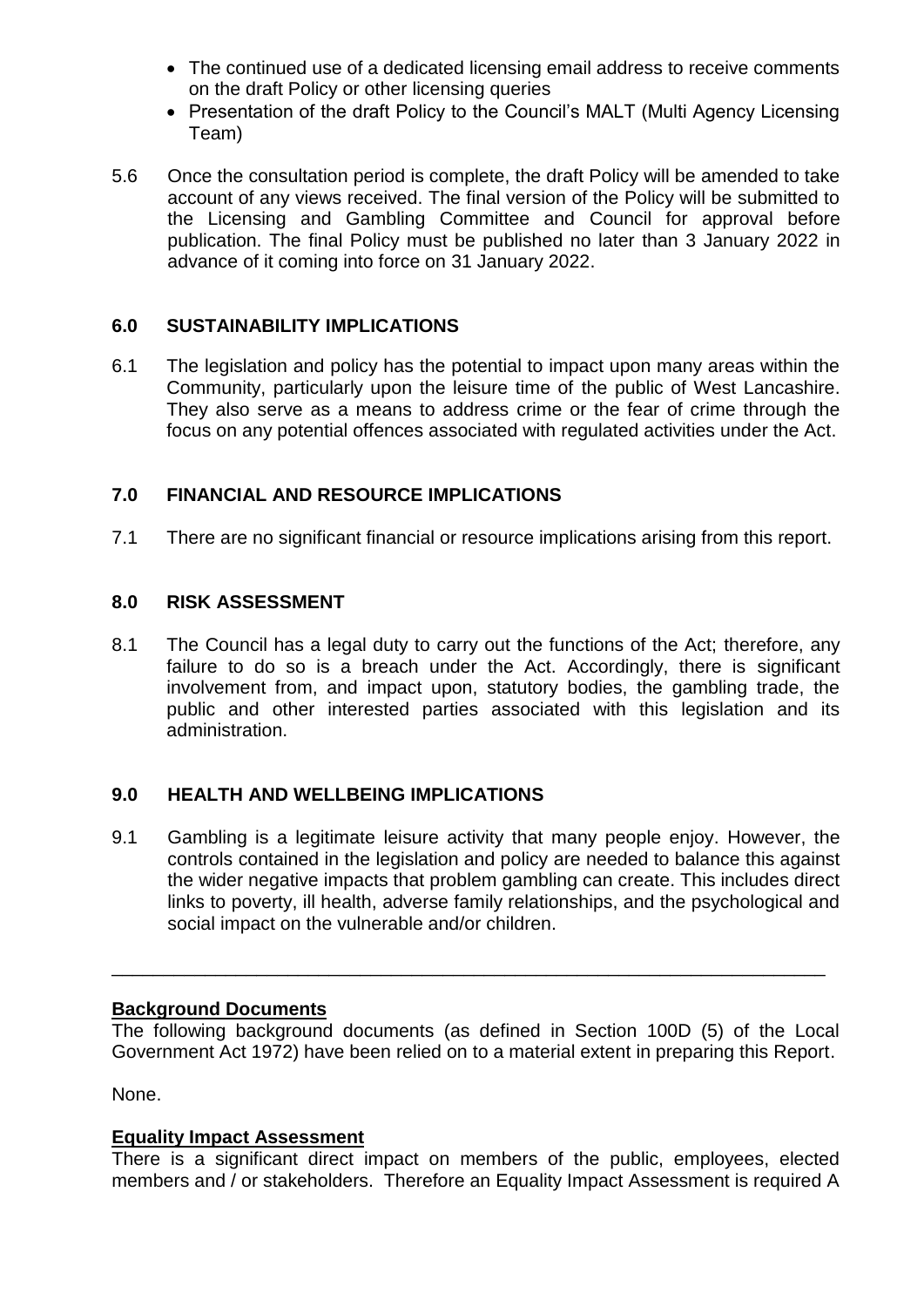- The continued use of a dedicated licensing email address to receive comments on the draft Policy or other licensing queries
- Presentation of the draft Policy to the Council's MALT (Multi Agency Licensing Team)
- 5.6 Once the consultation period is complete, the draft Policy will be amended to take account of any views received. The final version of the Policy will be submitted to the Licensing and Gambling Committee and Council for approval before publication. The final Policy must be published no later than 3 January 2022 in advance of it coming into force on 31 January 2022.

# **6.0 SUSTAINABILITY IMPLICATIONS**

6.1 The legislation and policy has the potential to impact upon many areas within the Community, particularly upon the leisure time of the public of West Lancashire. They also serve as a means to address crime or the fear of crime through the focus on any potential offences associated with regulated activities under the Act.

# **7.0 FINANCIAL AND RESOURCE IMPLICATIONS**

7.1 There are no significant financial or resource implications arising from this report.

### **8.0 RISK ASSESSMENT**

8.1 The Council has a legal duty to carry out the functions of the Act; therefore, any failure to do so is a breach under the Act. Accordingly, there is significant involvement from, and impact upon, statutory bodies, the gambling trade, the public and other interested parties associated with this legislation and its administration.

### **9.0 HEALTH AND WELLBEING IMPLICATIONS**

9.1 Gambling is a legitimate leisure activity that many people enjoy. However, the controls contained in the legislation and policy are needed to balance this against the wider negative impacts that problem gambling can create. This includes direct links to poverty, ill health, adverse family relationships, and the psychological and social impact on the vulnerable and/or children.

### **Background Documents**

The following background documents (as defined in Section 100D (5) of the Local Government Act 1972) have been relied on to a material extent in preparing this Report.

\_\_\_\_\_\_\_\_\_\_\_\_\_\_\_\_\_\_\_\_\_\_\_\_\_\_\_\_\_\_\_\_\_\_\_\_\_\_\_\_\_\_\_\_\_\_\_\_\_\_\_\_\_\_\_\_\_\_\_\_\_\_\_\_\_\_\_\_\_

None.

### **Equality Impact Assessment**

There is a significant direct impact on members of the public, employees, elected members and / or stakeholders. Therefore an Equality Impact Assessment is required A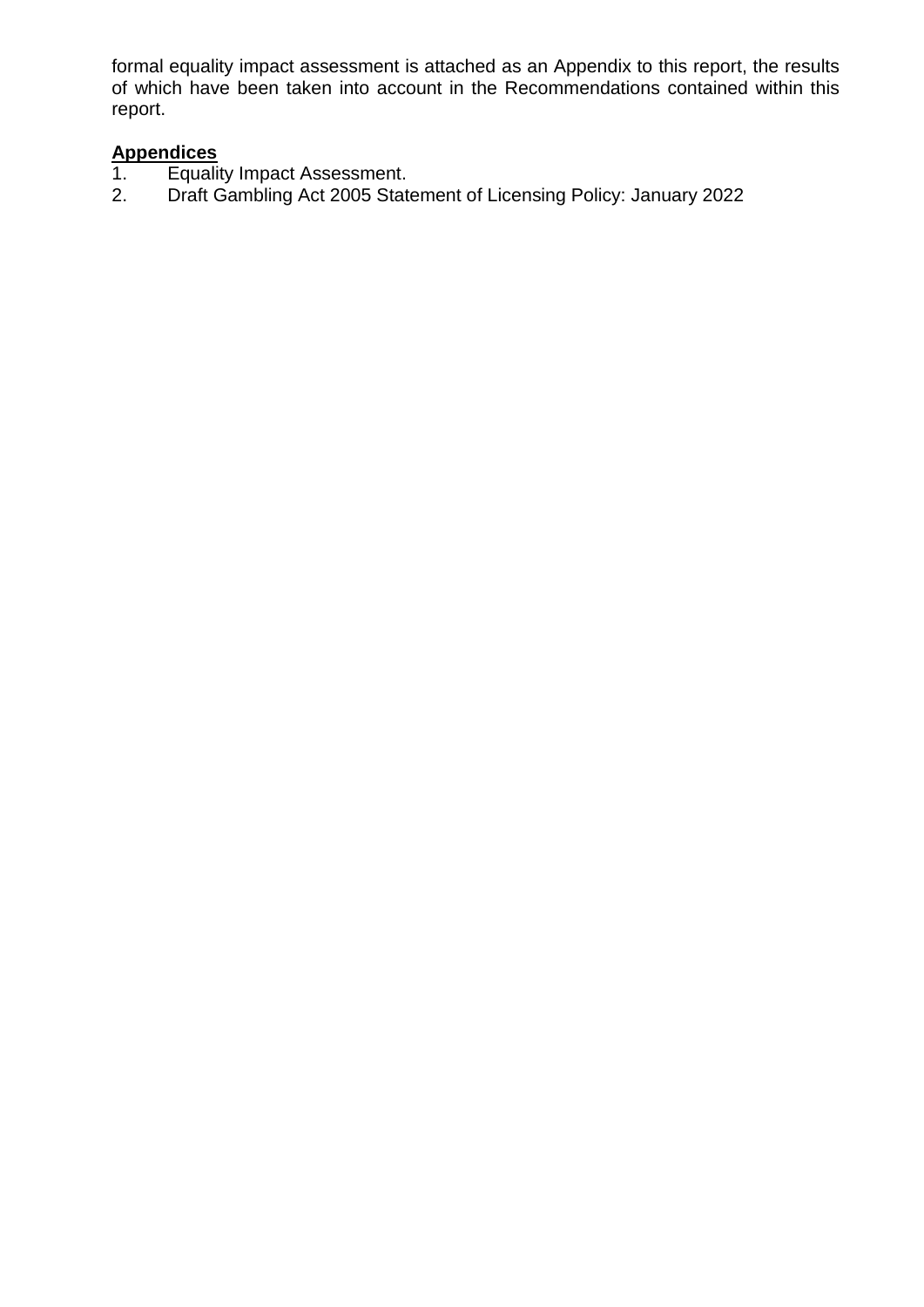formal equality impact assessment is attached as an Appendix to this report, the results of which have been taken into account in the Recommendations contained within this report.

- Appendices<br>1. Equalit 1. Equality Impact Assessment.<br>2. Draft Gambling Act 2005 State
- 2. Draft Gambling Act 2005 Statement of Licensing Policy: January 2022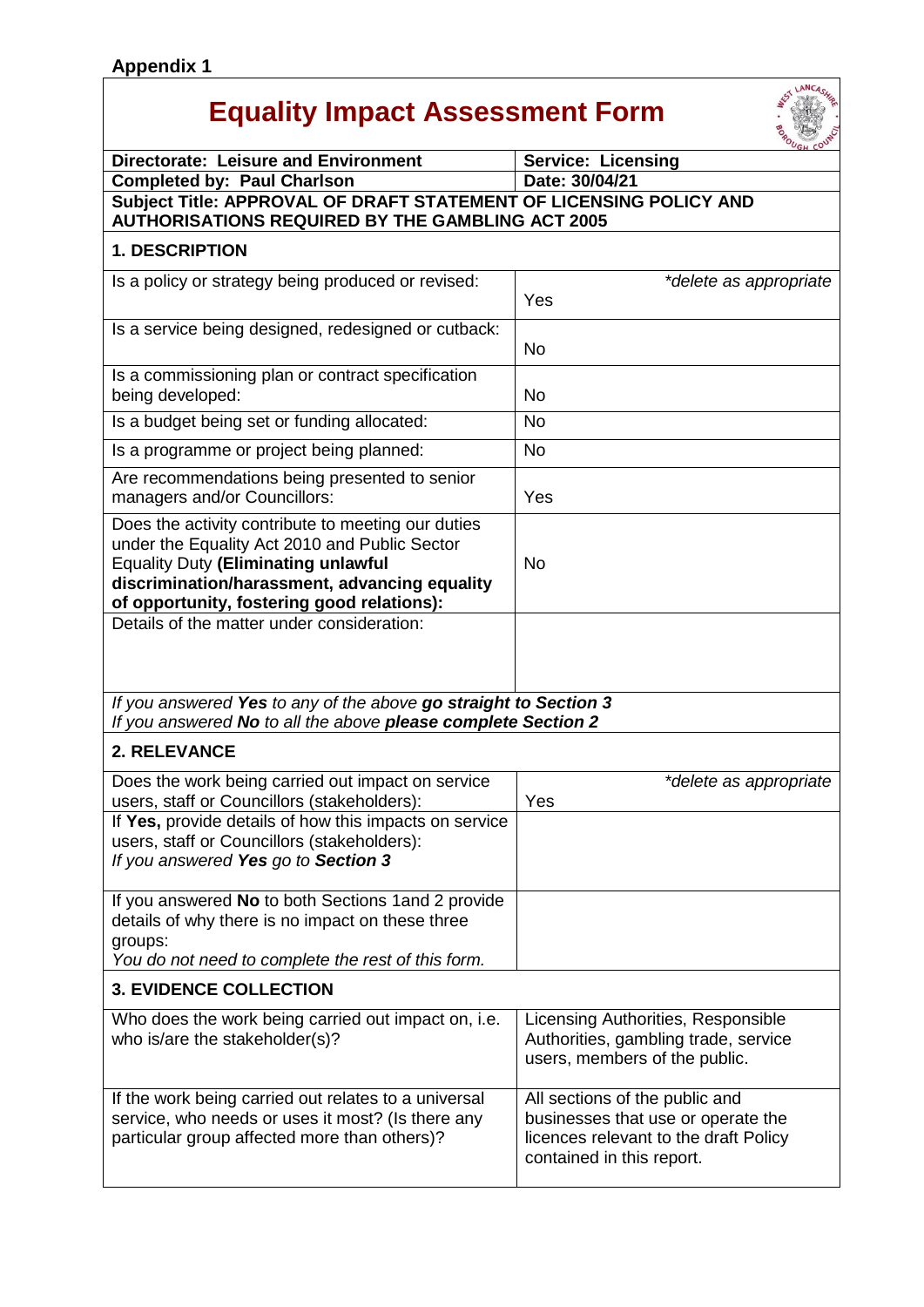# **Equality Impact Assessment Form**



|                                                                                                                                                                                                                                                  | UGH COU                                                                                                                                    |  |
|--------------------------------------------------------------------------------------------------------------------------------------------------------------------------------------------------------------------------------------------------|--------------------------------------------------------------------------------------------------------------------------------------------|--|
| <b>Directorate: Leisure and Environment</b>                                                                                                                                                                                                      | <b>Service: Licensing</b>                                                                                                                  |  |
| <b>Completed by: Paul Charlson</b>                                                                                                                                                                                                               | Date: 30/04/21                                                                                                                             |  |
| Subject Title: APPROVAL OF DRAFT STATEMENT OF LICENSING POLICY AND<br><b>AUTHORISATIONS REQUIRED BY THE GAMBLING ACT 2005</b>                                                                                                                    |                                                                                                                                            |  |
| <b>1. DESCRIPTION</b>                                                                                                                                                                                                                            |                                                                                                                                            |  |
| Is a policy or strategy being produced or revised:                                                                                                                                                                                               | *delete as appropriate<br>Yes                                                                                                              |  |
| Is a service being designed, redesigned or cutback:                                                                                                                                                                                              | <b>No</b>                                                                                                                                  |  |
| Is a commissioning plan or contract specification<br>being developed:                                                                                                                                                                            | No                                                                                                                                         |  |
| Is a budget being set or funding allocated:                                                                                                                                                                                                      | <b>No</b>                                                                                                                                  |  |
| Is a programme or project being planned:                                                                                                                                                                                                         | <b>No</b>                                                                                                                                  |  |
| Are recommendations being presented to senior<br>managers and/or Councillors:                                                                                                                                                                    | Yes                                                                                                                                        |  |
| Does the activity contribute to meeting our duties<br>under the Equality Act 2010 and Public Sector<br><b>Equality Duty (Eliminating unlawful</b><br>discrimination/harassment, advancing equality<br>of opportunity, fostering good relations): | <b>No</b>                                                                                                                                  |  |
| Details of the matter under consideration:                                                                                                                                                                                                       |                                                                                                                                            |  |
| If you answered Yes to any of the above go straight to Section 3<br>If you answered No to all the above please complete Section 2                                                                                                                |                                                                                                                                            |  |
| 2. RELEVANCE                                                                                                                                                                                                                                     |                                                                                                                                            |  |
| Does the work being carried out impact on service<br>users, staff or Councillors (stakeholders):                                                                                                                                                 | *delete as appropriate<br>Yes                                                                                                              |  |
| If Yes, provide details of how this impacts on service<br>users, staff or Councillors (stakeholders):<br>If you answered Yes go to Section 3                                                                                                     |                                                                                                                                            |  |
| If you answered No to both Sections 1 and 2 provide<br>details of why there is no impact on these three<br>groups:<br>You do not need to complete the rest of this form.                                                                         |                                                                                                                                            |  |
| <b>3. EVIDENCE COLLECTION</b>                                                                                                                                                                                                                    |                                                                                                                                            |  |
| Who does the work being carried out impact on, i.e.<br>who is/are the stakeholder(s)?                                                                                                                                                            | Licensing Authorities, Responsible<br>Authorities, gambling trade, service<br>users, members of the public.                                |  |
| If the work being carried out relates to a universal<br>service, who needs or uses it most? (Is there any<br>particular group affected more than others)?                                                                                        | All sections of the public and<br>businesses that use or operate the<br>licences relevant to the draft Policy<br>contained in this report. |  |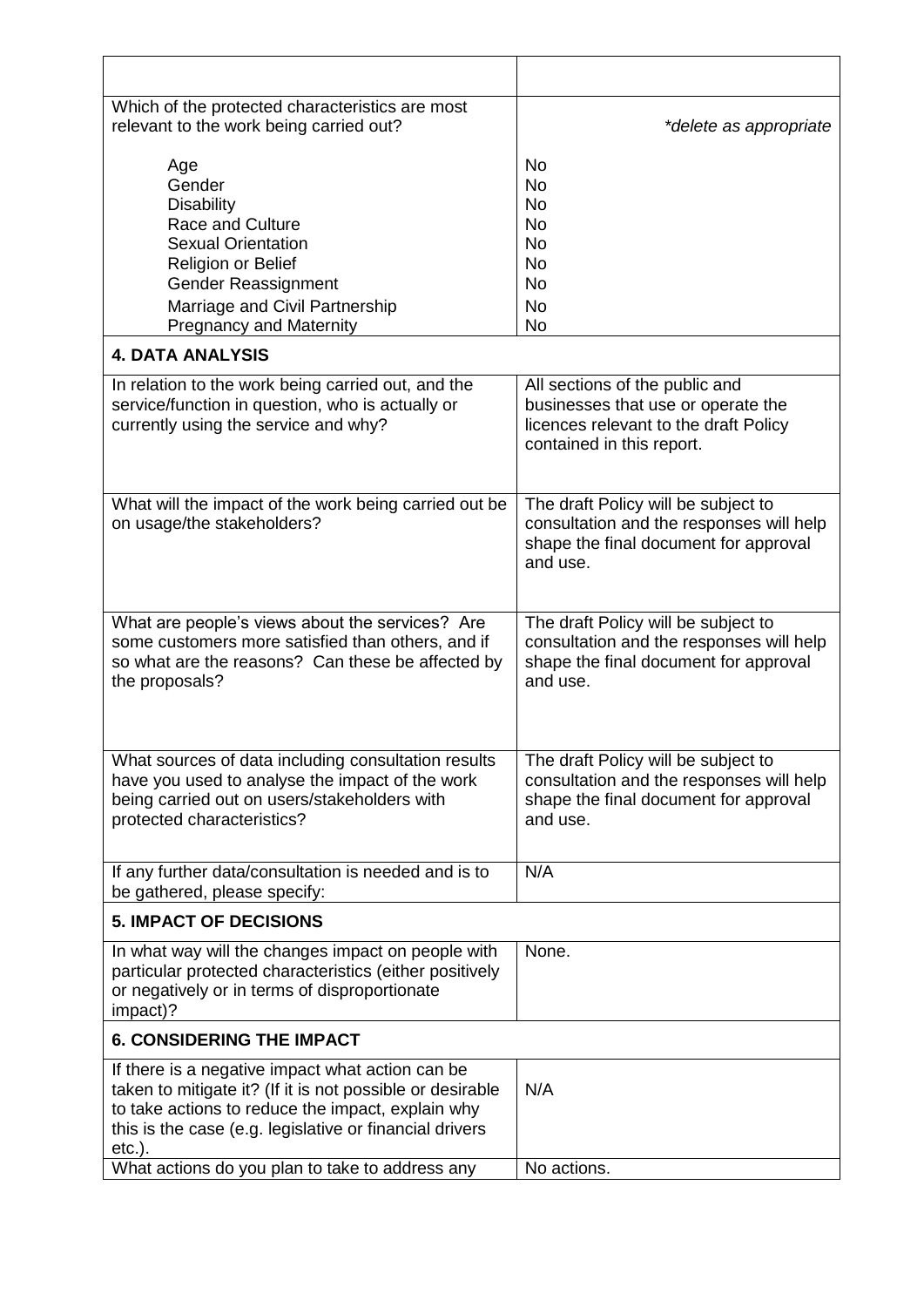| Which of the protected characteristics are most<br>relevant to the work being carried out?                                                                                                                                                 | *delete as appropriate                                                                                                                     |
|--------------------------------------------------------------------------------------------------------------------------------------------------------------------------------------------------------------------------------------------|--------------------------------------------------------------------------------------------------------------------------------------------|
| Age<br>Gender<br><b>Disability</b><br>Race and Culture<br><b>Sexual Orientation</b><br>Religion or Belief<br>Gender Reassignment<br>Marriage and Civil Partnership<br><b>Pregnancy and Maternity</b><br><b>4. DATA ANALYSIS</b>            | <b>No</b><br><b>No</b><br><b>No</b><br><b>No</b><br><b>No</b><br><b>No</b><br><b>No</b><br><b>No</b><br>No.                                |
|                                                                                                                                                                                                                                            |                                                                                                                                            |
| In relation to the work being carried out, and the<br>service/function in question, who is actually or<br>currently using the service and why?                                                                                             | All sections of the public and<br>businesses that use or operate the<br>licences relevant to the draft Policy<br>contained in this report. |
| What will the impact of the work being carried out be<br>on usage/the stakeholders?                                                                                                                                                        | The draft Policy will be subject to<br>consultation and the responses will help<br>shape the final document for approval<br>and use.       |
| What are people's views about the services? Are<br>some customers more satisfied than others, and if<br>so what are the reasons? Can these be affected by<br>the proposals?                                                                | The draft Policy will be subject to<br>consultation and the responses will help<br>shape the final document for approval<br>and use.       |
| What sources of data including consultation results<br>have you used to analyse the impact of the work<br>being carried out on users/stakeholders with<br>protected characteristics?                                                       | The draft Policy will be subject to<br>consultation and the responses will help<br>shape the final document for approval<br>and use.       |
| If any further data/consultation is needed and is to<br>be gathered, please specify:                                                                                                                                                       | N/A                                                                                                                                        |
| <b>5. IMPACT OF DECISIONS</b>                                                                                                                                                                                                              |                                                                                                                                            |
| In what way will the changes impact on people with<br>particular protected characteristics (either positively<br>or negatively or in terms of disproportionate<br>impact)?                                                                 | None.                                                                                                                                      |
| <b>6. CONSIDERING THE IMPACT</b>                                                                                                                                                                                                           |                                                                                                                                            |
| If there is a negative impact what action can be<br>taken to mitigate it? (If it is not possible or desirable<br>to take actions to reduce the impact, explain why<br>this is the case (e.g. legislative or financial drivers<br>$etc.$ ). | N/A                                                                                                                                        |
| What actions do you plan to take to address any                                                                                                                                                                                            | No actions.                                                                                                                                |